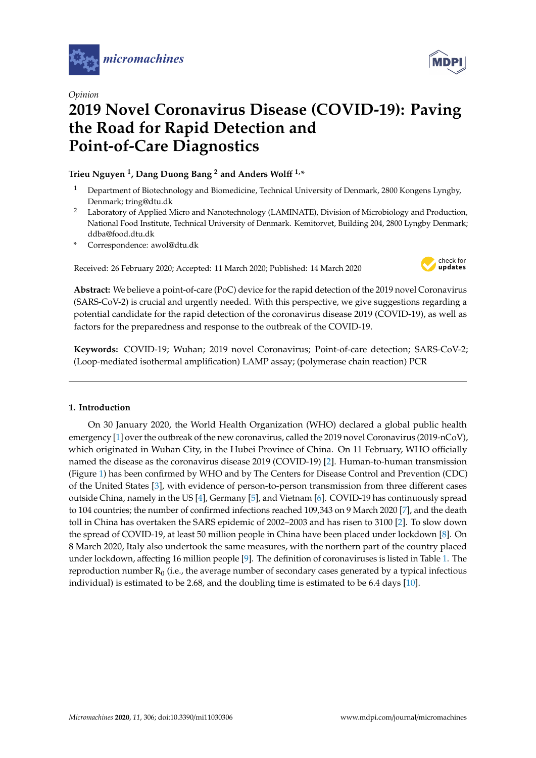

*Opinion*

# **2019 Novel Coronavirus Disease (COVID-19): Paving the Road for Rapid Detection and Point-of-Care Diagnostics**

## **Trieu Nguyen <sup>1</sup> , Dang Duong Bang <sup>2</sup> and Anders Wol**ff **1,\***

- <sup>1</sup> Department of Biotechnology and Biomedicine, Technical University of Denmark, 2800 Kongens Lyngby, Denmark; tring@dtu.dk
- <sup>2</sup> Laboratory of Applied Micro and Nanotechnology (LAMINATE), Division of Microbiology and Production, National Food Institute, Technical University of Denmark. Kemitorvet, Building 204, 2800 Lyngby Denmark; ddba@food.dtu.dk
- **\*** Correspondence: awol@dtu.dk

Received: 26 February 2020; Accepted: 11 March 2020; Published: 14 March 2020



**Abstract:** We believe a point-of-care (PoC) device for the rapid detection of the 2019 novel Coronavirus (SARS-CoV-2) is crucial and urgently needed. With this perspective, we give suggestions regarding a potential candidate for the rapid detection of the coronavirus disease 2019 (COVID-19), as well as factors for the preparedness and response to the outbreak of the COVID-19.

**Keywords:** COVID-19; Wuhan; 2019 novel Coronavirus; Point-of-care detection; SARS-CoV-2; (Loop-mediated isothermal amplification) LAMP assay; (polymerase chain reaction) PCR

## **1. Introduction**

On 30 January 2020, the World Health Organization (WHO) declared a global public health emergency [\[1\]](#page-4-0) over the outbreak of the new coronavirus, called the 2019 novel Coronavirus (2019-nCoV), which originated in Wuhan City, in the Hubei Province of China. On 11 February, WHO officially named the disease as the coronavirus disease 2019 (COVID-19) [\[2\]](#page-4-1). Human-to-human transmission (Figure [1\)](#page-1-0) has been confirmed by WHO and by The Centers for Disease Control and Prevention (CDC) of the United States [\[3\]](#page-4-2), with evidence of person-to-person transmission from three different cases outside China, namely in the US [\[4\]](#page-4-3), Germany [\[5\]](#page-4-4), and Vietnam [\[6\]](#page-4-5). COVID-19 has continuously spread to 104 countries; the number of confirmed infections reached 109,343 on 9 March 2020 [\[7\]](#page-4-6), and the death toll in China has overtaken the SARS epidemic of 2002–2003 and has risen to 3100 [\[2\]](#page-4-1). To slow down the spread of COVID-19, at least 50 million people in China have been placed under lockdown [\[8\]](#page-4-7). On 8 March 2020, Italy also undertook the same measures, with the northern part of the country placed under lockdown, affecting 16 million people [\[9\]](#page-5-0). The definition of coronaviruses is listed in Table [1.](#page-1-1) The reproduction number  $R_0$  (i.e., the average number of secondary cases generated by a typical infectious individual) is estimated to be 2.68, and the doubling time is estimated to be 6.4 days [\[10\]](#page-5-1).



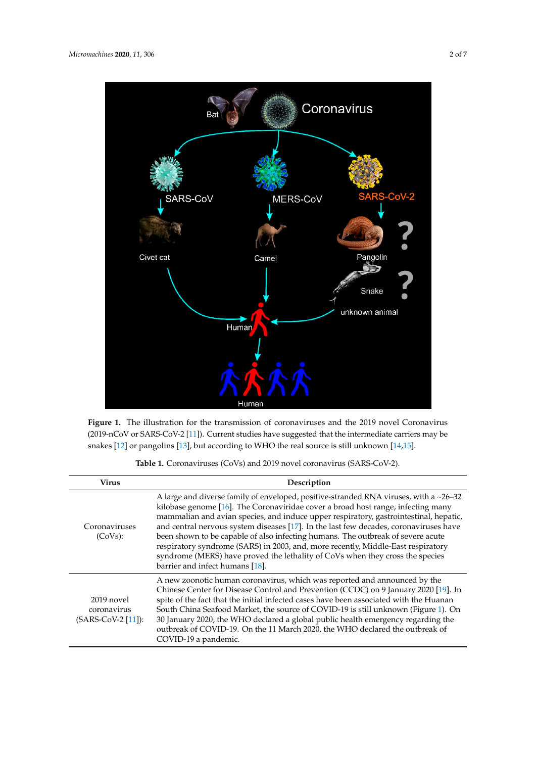<span id="page-1-0"></span>

Figure 1. The illustration for the transmission of coronaviruses and the 2019 novel Coronavirus nCoV or SARS-CoV-2 [12])[. C](#page-5-2)urrent studies have suggested that the intermediate carriers may be (2019-nCoV or SARS-CoV-2 [11]). Current studies have suggested that the intermediate carriers may be snakes [12] or pangolins [\[13\]](#page-5-3), but according to WHO the real source is still unknown [14,15].

| <b>Table 1.</b> Coronaviruses (CoVs) and 2019 novel coronavirus (SARS-CoV-2). |
|-------------------------------------------------------------------------------|
|                                                                               |

<span id="page-1-1"></span>

| <b>Virus</b>                                       | Description                                                                                                                                                                                                                                                                                                                                                                                                                                                                                                                                                                                                                                               |  |
|----------------------------------------------------|-----------------------------------------------------------------------------------------------------------------------------------------------------------------------------------------------------------------------------------------------------------------------------------------------------------------------------------------------------------------------------------------------------------------------------------------------------------------------------------------------------------------------------------------------------------------------------------------------------------------------------------------------------------|--|
| Coronaviruses<br>(CoVs):                           | A large and diverse family of enveloped, positive-stranded RNA viruses, with a ~26-32<br>kilobase genome [16]. The Coronaviridae cover a broad host range, infecting many<br>mammalian and avian species, and induce upper respiratory, gastrointestinal, hepatic,<br>and central nervous system diseases $[17]$ . In the last few decades, coronaviruses have<br>been shown to be capable of also infecting humans. The outbreak of severe acute<br>respiratory syndrome (SARS) in 2003, and, more recently, Middle-East respiratory<br>syndrome (MERS) have proved the lethality of CoVs when they cross the species<br>barrier and infect humans [18]. |  |
| 2019 novel<br>coronavirus<br>$(SARS-CoV-2 [11])$ : | A new zoonotic human coronavirus, which was reported and announced by the<br>Chinese Center for Disease Control and Prevention (CCDC) on 9 January 2020 [19]. In<br>spite of the fact that the initial infected cases have been associated with the Huanan<br>South China Seafood Market, the source of COVID-19 is still unknown (Figure 1). On<br>30 January 2020, the WHO declared a global public health emergency regarding the<br>outbreak of COVID-19. On the 11 March 2020, the WHO declared the outbreak of<br>COVID-19 a pandemic.                                                                                                              |  |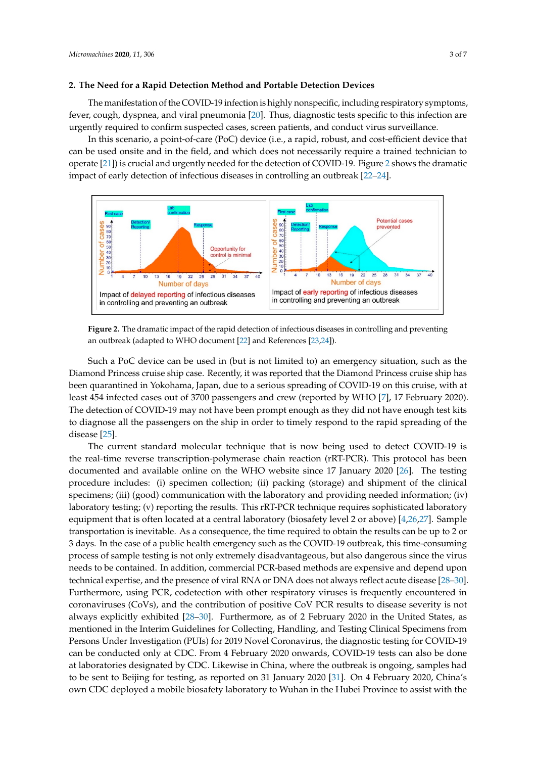#### **2. The Need for a Rapid Detection Method and Portable Detection Devices**

The manifestation of the COVID-19 infection is highly nonspecific, including respiratory symptoms, fever, cough, dyspnea, and viral pneumonia [\[20\]](#page-5-11). Thus, diagnostic tests specific to this infection are urgently required to confirm suspected cases, screen patients, and conduct virus surveillance.

In this scenario, a point-of-care (PoC) device (i.e., a rapid, robust, and cost-efficient device that can be used onsite and in the field, and which does not necessarily require a trained technician to operate [\[21\]](#page-5-12)) is crucial and urgently needed for the detection of COVID-19. Figure [2](#page-2-0) shows the dramatic impact of early detection of infectious diseases in controlling an outbreak [\[22–](#page-5-13)[24\]](#page-5-14).

<span id="page-2-0"></span>

**Figure 2.** The dramatic impact of the rapid detection of infectious diseases in controlling and **Figure 2.** The dramatic impact of the rapid detection of infectious diseases in controlling and preventing an outbreak (adapted to WHO [do](#page-5-13)cument [22] and Re[fere](#page-5-14)nces [\[23,](#page-5-15)24]).

Such a PoC device can be used in (but is not limited to) an emergency situation, such as the Diamond Princess cruise ship case. Recently, it was reported that the Diamond Princess cruise ship has Diamond Princess cruise ship case. Recently, it was reported that the Diamond Princess cruise ship has<br>been quarantined in Yokohama, Japan, due to a serious spreading of COVID-19 on this cruise, with at least 454 infected cases out of 3700 passengers and crew (reported by WHO [7], 17 February 2020). The detection of COVID-19 may not have been prompt enough as they did not have enough test kits to diagnose all the passengers on the ship in order to timely respond to the rapid spreading of the  $\alpha$  change (25).

The current standard molecular technique that is now being used to detect COVID-19 is The current standard molecular technique that is now being used to detect COVID-19 is the real-time reverse transcription-polymerase chain reaction (rRT-PCR). This protocol has been documented and available online on the WHO website since 17 January 2020 [26]. The testing procedure includes: (i) specimen collection; (ii) packing (storage) and shipment of the clinical specimens; (iii) (good) communication with the laboratory and providing needed information; (iv) laboratory testing; (v) reporting the results. This rRT-PCR technique requires sophisticated laboratory equipment that is often located at a central laboratory (biosafety level 2 or above) [4,26,27]. Sample transportation is inevitable. As a consequence, the time required to obtain the results can be up to 2 or 3 days. In the case of a public health emergency such as the COVID-19 outbreak, this time-consuming process of sample testing is not only extremely disadvantageous, but also dangerous since the virus needs to be contained. In addition, commercial PCR-based methods are expensive and depend upon technical expertise, and the presence of viral RNA or DNA does not always reflect acute disease [28-30]. Furthermore, using PCR, codetection with other respiratory viruses is frequently encountered in coronaviruses (CoVs), and the contribution of positive CoV PCR results to disease severity is not always explicitly exhibited [28-30]. Furthermore, as of 2 Febr[uary](#page-5-19) [20](#page-6-0)20 in the United States, as mentioned in the Interim Guidelines for Collecting, Handling, and Testing Clinical Specimens from Persons Under Investigation (PUIs) for 2019 Novel Coronavirus, the diagnostic testing for COVID-19 at laboratories designated by CDC. Likewise in China, where the outbreak is ongoing, samples had to be sent to Beijing for testing, as reported on 31 January 2020 [\[31\]](#page-6-1). On 4 February 2020, China's own CDC deployed a mobile biosafety laboratory to Wuhan in the Hubei Province to assist with the can be conducted only at CDC. From 4 February 2020 onwards, COVID-19 tests can also be done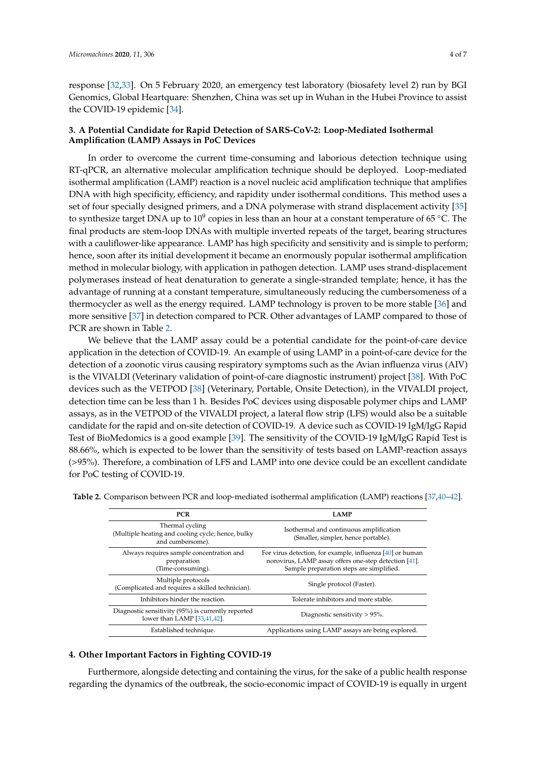response [\[32,](#page-6-2)[33\]](#page-6-3). On 5 February 2020, an emergency test laboratory (biosafety level 2) run by BGI Genomics, Global Heartquare: Shenzhen, China was set up in Wuhan in the Hubei Province to assist the COVID-19 epidemic [\[34\]](#page-6-4).

### **3. A Potential Candidate for Rapid Detection of SARS-CoV-2: Loop-Mediated Isothermal Amplification (LAMP) Assays in PoC Devices**

In order to overcome the current time-consuming and laborious detection technique using RT-qPCR, an alternative molecular amplification technique should be deployed. Loop-mediated isothermal amplification (LAMP) reaction is a novel nucleic acid amplification technique that amplifies DNA with high specificity, efficiency, and rapidity under isothermal conditions. This method uses a set of four specially designed primers, and a DNA polymerase with strand displacement activity [\[35\]](#page-6-5) to synthesize target DNA up to 10<sup>9</sup> copies in less than an hour at a constant temperature of 65 °C. The final products are stem-loop DNAs with multiple inverted repeats of the target, bearing structures with a cauliflower-like appearance. LAMP has high specificity and sensitivity and is simple to perform; hence, soon after its initial development it became an enormously popular isothermal amplification method in molecular biology, with application in pathogen detection. LAMP uses strand-displacement polymerases instead of heat denaturation to generate a single-stranded template; hence, it has the advantage of running at a constant temperature, simultaneously reducing the cumbersomeness of a thermocycler as well as the energy required. LAMP technology is proven to be more stable [\[36\]](#page-6-6) and more sensitive [\[37\]](#page-6-7) in detection compared to PCR. Other advantages of LAMP compared to those of PCR are shown in Table [2.](#page-3-0)

We believe that the LAMP assay could be a potential candidate for the point-of-care device application in the detection of COVID-19. An example of using LAMP in a point-of-care device for the detection of a zoonotic virus causing respiratory symptoms such as the Avian influenza virus (AIV) is the VIVALDI (Veterinary validation of point-of-care diagnostic instrument) project [\[38\]](#page-6-8). With PoC devices such as the VETPOD [\[38\]](#page-6-8) (Veterinary, Portable, Onsite Detection), in the VIVALDI project, detection time can be less than 1 h. Besides PoC devices using disposable polymer chips and LAMP assays, as in the VETPOD of the VIVALDI project, a lateral flow strip (LFS) would also be a suitable candidate for the rapid and on-site detection of COVID-19. A device such as COVID-19 IgM/IgG Rapid Test of BioMedomics is a good example [\[39\]](#page-6-9). The sensitivity of the COVID-19 IgM/IgG Rapid Test is 88.66%, which is expected to be lower than the sensitivity of tests based on LAMP-reaction assays (>95%). Therefore, a combination of LFS and LAMP into one device could be an excellent candidate for PoC testing of COVID-19.

| <b>PCR</b>                                                                               | <b>LAMP</b>                                                                                                                                                    |
|------------------------------------------------------------------------------------------|----------------------------------------------------------------------------------------------------------------------------------------------------------------|
| Thermal cycling<br>(Multiple heating and cooling cycle; hence, bulky<br>and cumbersome). | Isothermal and continuous amplification<br>(Smaller, simpler, hence portable).                                                                                 |
| Always requires sample concentration and<br>preparation<br>(Time-consuming).             | For virus detection, for example, influenza [40] or human<br>norovirus, LAMP assay offers one-step detection [41].<br>Sample preparation steps are simplified. |
| Multiple protocols<br>(Complicated and requires a skilled technician).                   | Single protocol (Faster).                                                                                                                                      |
| Inhibitors hinder the reaction.                                                          | Tolerate inhibitors and more stable.                                                                                                                           |
| Diagnostic sensitivity (95%) is currently reported<br>lower than LAMP [33,41,42].        | Diagnostic sensitivity $> 95\%$ .                                                                                                                              |
| Established technique.                                                                   | Applications using LAMP assays are being explored.                                                                                                             |

<span id="page-3-0"></span>**Table 2.** Comparison between PCR and loop-mediated isothermal amplification (LAMP) reactions [\[37](#page-6-7)[,40](#page-6-10)[–42\]](#page-6-11).

#### **4. Other Important Factors in Fighting COVID-19**

Furthermore, alongside detecting and containing the virus, for the sake of a public health response regarding the dynamics of the outbreak, the socio-economic impact of COVID-19 is equally in urgent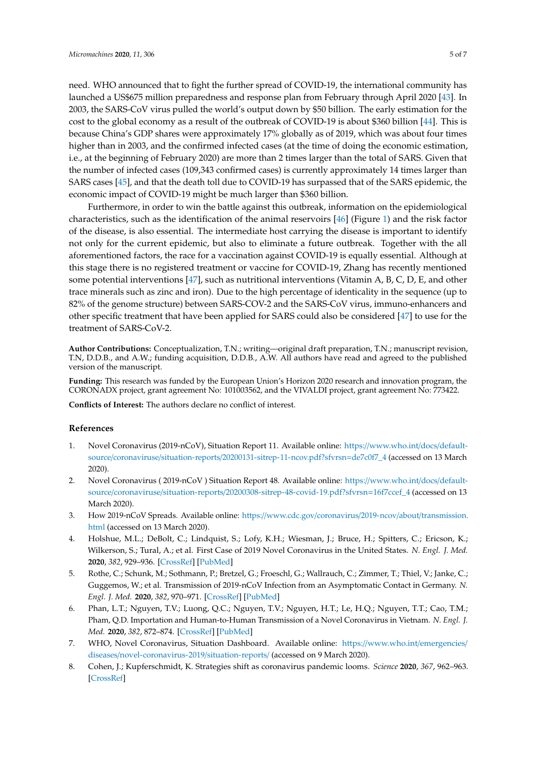need. WHO announced that to fight the further spread of COVID-19, the international community has launched a US\$675 million preparedness and response plan from February through April 2020 [\[43\]](#page-6-13). In 2003, the SARS-CoV virus pulled the world's output down by \$50 billion. The early estimation for the cost to the global economy as a result of the outbreak of COVID-19 is about \$360 billion [\[44\]](#page-6-14). This is because China's GDP shares were approximately 17% globally as of 2019, which was about four times higher than in 2003, and the confirmed infected cases (at the time of doing the economic estimation, i.e., at the beginning of February 2020) are more than 2 times larger than the total of SARS. Given that the number of infected cases (109,343 confirmed cases) is currently approximately 14 times larger than SARS cases [\[45\]](#page-6-15), and that the death toll due to COVID-19 has surpassed that of the SARS epidemic, the economic impact of COVID-19 might be much larger than \$360 billion.

Furthermore, in order to win the battle against this outbreak, information on the epidemiological characteristics, such as the identification of the animal reservoirs [\[46\]](#page-6-16) (Figure [1\)](#page-1-0) and the risk factor of the disease, is also essential. The intermediate host carrying the disease is important to identify not only for the current epidemic, but also to eliminate a future outbreak. Together with the all aforementioned factors, the race for a vaccination against COVID-19 is equally essential. Although at this stage there is no registered treatment or vaccine for COVID-19, Zhang has recently mentioned some potential interventions [\[47\]](#page-6-17), such as nutritional interventions (Vitamin A, B, C, D, E, and other trace minerals such as zinc and iron). Due to the high percentage of identicality in the sequence (up to 82% of the genome structure) between SARS-COV-2 and the SARS-CoV virus, immuno-enhancers and other specific treatment that have been applied for SARS could also be considered [\[47\]](#page-6-17) to use for the treatment of SARS-CoV-2.

**Author Contributions:** Conceptualization, T.N.; writing—original draft preparation, T.N.; manuscript revision, T.N, D.D.B., and A.W.; funding acquisition, D.D.B., A.W. All authors have read and agreed to the published version of the manuscript.

**Funding:** This research was funded by the European Union's Horizon 2020 research and innovation program, the CORONADX project, grant agreement No: 101003562, and the VIVALDI project, grant agreement No: 773422.

**Conflicts of Interest:** The authors declare no conflict of interest.

#### **References**

- <span id="page-4-0"></span>1. Novel Coronavirus (2019-nCoV), Situation Report 11. Available online: https://[www.who.int](https://www.who.int/docs/default-source/coronaviruse/situation-reports/20200131-sitrep-11-ncov.pdf?sfvrsn=de7c0f7_4)/docs/default-source/coronaviruse/situation-reports/[20200131-sitrep-11-ncov.pdf?sfvrsn](https://www.who.int/docs/default-source/coronaviruse/situation-reports/20200131-sitrep-11-ncov.pdf?sfvrsn=de7c0f7_4)=de7c0f7\_4 (accessed on 13 March 2020).
- <span id="page-4-1"></span>2. Novel Coronavirus ( 2019-nCoV ) Situation Report 48. Available online: https://[www.who.int](https://www.who.int/docs/default-source/coronaviruse/situation-reports/20200308-sitrep-48-covid-19.pdf?sfvrsn=16f7ccef_4)/docs/defaultsource/coronaviruse/situation-reports/[20200308-sitrep-48-covid-19.pdf?sfvrsn](https://www.who.int/docs/default-source/coronaviruse/situation-reports/20200308-sitrep-48-covid-19.pdf?sfvrsn=16f7ccef_4)=16f7ccef\_4 (accessed on 13 March 2020).
- <span id="page-4-2"></span>3. How 2019-nCoV Spreads. Available online: https://[www.cdc.gov](https://www.cdc.gov/coronavirus/2019-ncov/about/transmission.html)/coronavirus/2019-ncov/about/transmission. [html](https://www.cdc.gov/coronavirus/2019-ncov/about/transmission.html) (accessed on 13 March 2020).
- <span id="page-4-3"></span>4. Holshue, M.L.; DeBolt, C.; Lindquist, S.; Lofy, K.H.; Wiesman, J.; Bruce, H.; Spitters, C.; Ericson, K.; Wilkerson, S.; Tural, A.; et al. First Case of 2019 Novel Coronavirus in the United States. *N. Engl. J. Med.* **2020**, *382*, 929–936. [\[CrossRef\]](http://dx.doi.org/10.1056/NEJMoa2001191) [\[PubMed\]](http://www.ncbi.nlm.nih.gov/pubmed/32004427)
- <span id="page-4-4"></span>5. Rothe, C.; Schunk, M.; Sothmann, P.; Bretzel, G.; Froeschl, G.; Wallrauch, C.; Zimmer, T.; Thiel, V.; Janke, C.; Guggemos, W.; et al. Transmission of 2019-nCoV Infection from an Asymptomatic Contact in Germany. *N. Engl. J. Med.* **2020**, *382*, 970–971. [\[CrossRef\]](http://dx.doi.org/10.1056/NEJMc2001468) [\[PubMed\]](http://www.ncbi.nlm.nih.gov/pubmed/32003551)
- <span id="page-4-5"></span>6. Phan, L.T.; Nguyen, T.V.; Luong, Q.C.; Nguyen, T.V.; Nguyen, H.T.; Le, H.Q.; Nguyen, T.T.; Cao, T.M.; Pham, Q.D. Importation and Human-to-Human Transmission of a Novel Coronavirus in Vietnam. *N. Engl. J. Med.* **2020**, *382*, 872–874. [\[CrossRef\]](http://dx.doi.org/10.1056/NEJMc2001272) [\[PubMed\]](http://www.ncbi.nlm.nih.gov/pubmed/31991079)
- <span id="page-4-6"></span>7. WHO, Novel Coronavirus, Situation Dashboard. Available online: https://[www.who.int](https://www.who.int/emergencies/diseases/novel-coronavirus-2019/situation-reports/)/emergencies/ diseases/[novel-coronavirus-2019](https://www.who.int/emergencies/diseases/novel-coronavirus-2019/situation-reports/)/situation-reports/ (accessed on 9 March 2020).
- <span id="page-4-7"></span>8. Cohen, J.; Kupferschmidt, K. Strategies shift as coronavirus pandemic looms. *Science* **2020**, *367*, 962–963. [\[CrossRef\]](http://dx.doi.org/10.1126/science.367.6481.962)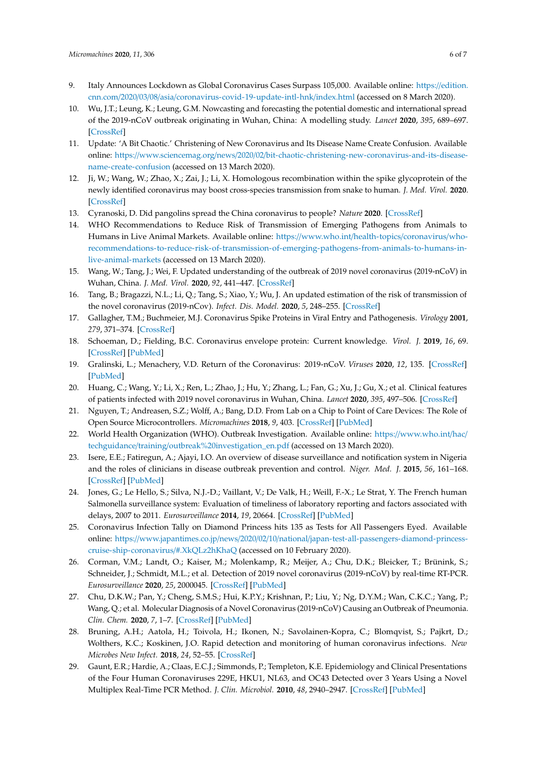- <span id="page-5-0"></span>9. Italy Announces Lockdown as Global Coronavirus Cases Surpass 105,000. Available online: https://[edition.](https://edition.cnn.com/2020/03/08/asia/coronavirus-covid-19-update-intl-hnk/index.html) cnn.com/2020/03/08/asia/[coronavirus-covid-19-update-intl-hnk](https://edition.cnn.com/2020/03/08/asia/coronavirus-covid-19-update-intl-hnk/index.html)/index.html (accessed on 8 March 2020).
- <span id="page-5-1"></span>10. Wu, J.T.; Leung, K.; Leung, G.M. Nowcasting and forecasting the potential domestic and international spread of the 2019-nCoV outbreak originating in Wuhan, China: A modelling study. *Lancet* **2020**, *395*, 689–697. [\[CrossRef\]](http://dx.doi.org/10.1016/S0140-6736(20)30260-9)
- <span id="page-5-2"></span>11. Update: 'A Bit Chaotic.' Christening of New Coronavirus and Its Disease Name Create Confusion. Available online: https://www.sciencemag.org/news/2020/02/[bit-chaotic-christening-new-coronavirus-and-its-disease](https://www.sciencemag.org/news/2020/02/bit-chaotic-christening-new-coronavirus-and-its-disease-name-create-confusion)[name-create-confusion](https://www.sciencemag.org/news/2020/02/bit-chaotic-christening-new-coronavirus-and-its-disease-name-create-confusion) (accessed on 13 March 2020).
- <span id="page-5-3"></span>12. Ji, W.; Wang, W.; Zhao, X.; Zai, J.; Li, X. Homologous recombination within the spike glycoprotein of the newly identified coronavirus may boost cross-species transmission from snake to human. *J. Med. Virol.* **2020**. [\[CrossRef\]](http://dx.doi.org/10.1002/jmv.25682)
- <span id="page-5-4"></span>13. Cyranoski, D. Did pangolins spread the China coronavirus to people? *Nature* **2020**. [\[CrossRef\]](http://dx.doi.org/10.1038/d41586-020-00364-2)
- <span id="page-5-5"></span>14. WHO Recommendations to Reduce Risk of Transmission of Emerging Pathogens from Animals to Humans in Live Animal Markets. Available online: https://[www.who.int](https://www.who.int/health-topics/coronavirus/who-recommendations-to-reduce-risk-of-transmission-of-emerging-pathogens-from-animals-to-humans-in-live-animal-markets)/health-topics/coronavirus/who[recommendations-to-reduce-risk-of-transmission-of-emerging-pathogens-from-animals-to-humans-in](https://www.who.int/health-topics/coronavirus/who-recommendations-to-reduce-risk-of-transmission-of-emerging-pathogens-from-animals-to-humans-in-live-animal-markets)[live-animal-markets](https://www.who.int/health-topics/coronavirus/who-recommendations-to-reduce-risk-of-transmission-of-emerging-pathogens-from-animals-to-humans-in-live-animal-markets) (accessed on 13 March 2020).
- <span id="page-5-6"></span>15. Wang, W.; Tang, J.; Wei, F. Updated understanding of the outbreak of 2019 novel coronavirus (2019-nCoV) in Wuhan, China. *J. Med. Virol.* **2020**, *92*, 441–447. [\[CrossRef\]](http://dx.doi.org/10.1002/jmv.25689)
- <span id="page-5-7"></span>16. Tang, B.; Bragazzi, N.L.; Li, Q.; Tang, S.; Xiao, Y.; Wu, J. An updated estimation of the risk of transmission of the novel coronavirus (2019-nCov). *Infect. Dis. Model.* **2020**, *5*, 248–255. [\[CrossRef\]](http://dx.doi.org/10.1016/j.idm.2020.02.001)
- <span id="page-5-8"></span>17. Gallagher, T.M.; Buchmeier, M.J. Coronavirus Spike Proteins in Viral Entry and Pathogenesis. *Virology* **2001**, *279*, 371–374. [\[CrossRef\]](http://dx.doi.org/10.1006/viro.2000.0757)
- <span id="page-5-9"></span>18. Schoeman, D.; Fielding, B.C. Coronavirus envelope protein: Current knowledge. *Virol. J.* **2019**, *16*, 69. [\[CrossRef\]](http://dx.doi.org/10.1186/s12985-019-1182-0) [\[PubMed\]](http://www.ncbi.nlm.nih.gov/pubmed/31133031)
- <span id="page-5-10"></span>19. Gralinski, L.; Menachery, V.D. Return of the Coronavirus: 2019-nCoV. *Viruses* **2020**, *12*, 135. [\[CrossRef\]](http://dx.doi.org/10.3390/v12020135) [\[PubMed\]](http://www.ncbi.nlm.nih.gov/pubmed/31991541)
- <span id="page-5-11"></span>20. Huang, C.; Wang, Y.; Li, X.; Ren, L.; Zhao, J.; Hu, Y.; Zhang, L.; Fan, G.; Xu, J.; Gu, X.; et al. Clinical features of patients infected with 2019 novel coronavirus in Wuhan, China. *Lancet* **2020**, *395*, 497–506. [\[CrossRef\]](http://dx.doi.org/10.1016/S0140-6736(20)30183-5)
- <span id="page-5-12"></span>21. Nguyen, T.; Andreasen, S.Z.; Wolff, A.; Bang, D.D. From Lab on a Chip to Point of Care Devices: The Role of Open Source Microcontrollers. *Micromachines* **2018**, *9*, 403. [\[CrossRef\]](http://dx.doi.org/10.3390/mi9080403) [\[PubMed\]](http://www.ncbi.nlm.nih.gov/pubmed/30424336)
- <span id="page-5-13"></span>22. World Health Organization (WHO). Outbreak Investigation. Available online: https://[www.who.int](https://www.who.int/hac/techguidance/training/outbreak%20investigation_en.pdf)/hac/ techguidance/training/[outbreak%20investigation\\_en.pdf](https://www.who.int/hac/techguidance/training/outbreak%20investigation_en.pdf) (accessed on 13 March 2020).
- <span id="page-5-15"></span>23. Isere, E.E.; Fatiregun, A.; Ajayi, I.O. An overview of disease surveillance and notification system in Nigeria and the roles of clinicians in disease outbreak prevention and control. *Niger. Med. J.* **2015**, *56*, 161–168. [\[CrossRef\]](http://dx.doi.org/10.4103/0300-1652.160347) [\[PubMed\]](http://www.ncbi.nlm.nih.gov/pubmed/26229222)
- <span id="page-5-14"></span>24. Jones, G.; Le Hello, S.; Silva, N.J.-D.; Vaillant, V.; De Valk, H.; Weill, F.-X.; Le Strat, Y. The French human Salmonella surveillance system: Evaluation of timeliness of laboratory reporting and factors associated with delays, 2007 to 2011. *Eurosurveillance* **2014**, *19*, 20664. [\[CrossRef\]](http://dx.doi.org/10.2807/1560-7917.ES2014.19.1.20664) [\[PubMed\]](http://www.ncbi.nlm.nih.gov/pubmed/24434174)
- <span id="page-5-16"></span>25. Coronavirus Infection Tally on Diamond Princess hits 135 as Tests for All Passengers Eyed. Available online: https://www.japantimes.co.jp/news/2020/02/10/national/[japan-test-all-passengers-diamond-princess](https://www.japantimes.co.jp/news/2020/02/10/national/japan-test-all-passengers-diamond-princess-cruise-ship-coronavirus/#.XkQLz2hKhaQ)[cruise-ship-coronavirus](https://www.japantimes.co.jp/news/2020/02/10/national/japan-test-all-passengers-diamond-princess-cruise-ship-coronavirus/#.XkQLz2hKhaQ)/#.XkQLz2hKhaQ (accessed on 10 February 2020).
- <span id="page-5-17"></span>26. Corman, V.M.; Landt, O.; Kaiser, M.; Molenkamp, R.; Meijer, A.; Chu, D.K.; Bleicker, T.; Brünink, S.; Schneider, J.; Schmidt, M.L.; et al. Detection of 2019 novel coronavirus (2019-nCoV) by real-time RT-PCR. *Eurosurveillance* **2020**, *25*, 2000045. [\[CrossRef\]](http://dx.doi.org/10.2807/1560-7917.ES.2020.25.3.2000045) [\[PubMed\]](http://www.ncbi.nlm.nih.gov/pubmed/31992387)
- <span id="page-5-18"></span>27. Chu, D.K.W.; Pan, Y.; Cheng, S.M.S.; Hui, K.P.Y.; Krishnan, P.; Liu, Y.; Ng, D.Y.M.; Wan, C.K.C.; Yang, P.; Wang, Q.; et al. Molecular Diagnosis of a Novel Coronavirus (2019-nCoV) Causing an Outbreak of Pneumonia. *Clin. Chem.* **2020**, *7*, 1–7. [\[CrossRef\]](http://dx.doi.org/10.1093/clinchem/hvaa029) [\[PubMed\]](http://www.ncbi.nlm.nih.gov/pubmed/32031583)
- <span id="page-5-19"></span>28. Bruning, A.H.; Aatola, H.; Toivola, H.; Ikonen, N.; Savolainen-Kopra, C.; Blomqvist, S.; Pajkrt, D.; Wolthers, K.C.; Koskinen, J.O. Rapid detection and monitoring of human coronavirus infections. *New Microbes New Infect.* **2018**, *24*, 52–55. [\[CrossRef\]](http://dx.doi.org/10.1016/j.nmni.2018.04.007)
- 29. Gaunt, E.R.; Hardie, A.; Claas, E.C.J.; Simmonds, P.; Templeton, K.E. Epidemiology and Clinical Presentations of the Four Human Coronaviruses 229E, HKU1, NL63, and OC43 Detected over 3 Years Using a Novel Multiplex Real-Time PCR Method. *J. Clin. Microbiol.* **2010**, *48*, 2940–2947. [\[CrossRef\]](http://dx.doi.org/10.1128/JCM.00636-10) [\[PubMed\]](http://www.ncbi.nlm.nih.gov/pubmed/20554810)